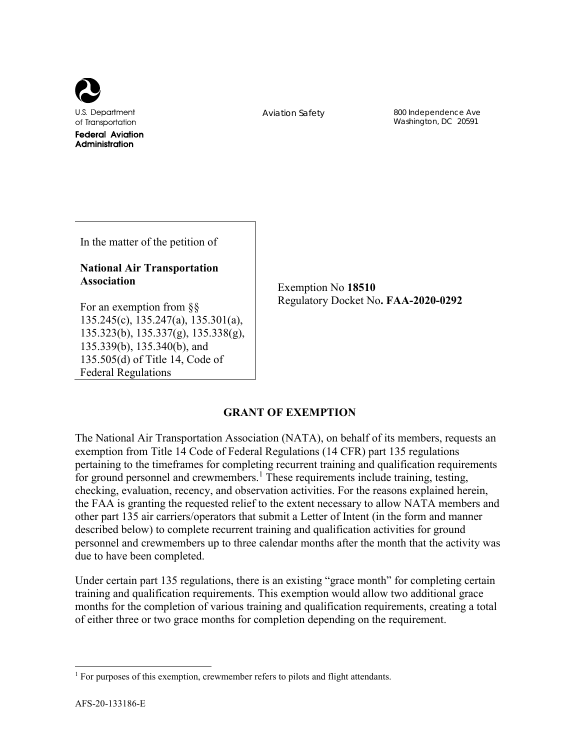

Aviation Safety 800 Independence Ave Washington, DC 20591

In the matter of the petition of

# **National Air Transportation Association**

Exemption No **18510** Regulatory Docket No**. FAA-2020-0292**

For an exemption from §§ 135.245(c), 135.247(a), 135.301(a), 135.323(b), 135.337(g), 135.338(g), 135.339(b), 135.340(b), and 135.505(d) of Title 14, Code of Federal Regulations

# **GRANT OF EXEMPTION**

The National Air Transportation Association (NATA), on behalf of its members, requests an exemption from Title 14 Code of Federal Regulations (14 CFR) part 135 regulations pertaining to the timeframes for completing recurrent training and qualification requirements for ground personnel and crewmembers.<sup>1</sup> These requirements include training, testing, checking, evaluation, recency, and observation activities. For the reasons explained herein, the FAA is granting the requested relief to the extent necessary to allow NATA members and other part 135 air carriers/operators that submit a Letter of Intent (in the form and manner described below) to complete recurrent training and qualification activities for ground personnel and crewmembers up to three calendar months after the month that the activity was due to have been completed.

Under certain part 135 regulations, there is an existing "grace month" for completing certain training and qualification requirements. This exemption would allow two additional grace months for the completion of various training and qualification requirements, creating a total of either three or two grace months for completion depending on the requirement.

<sup>&</sup>lt;sup>1</sup> For purposes of this exemption, crewmember refers to pilots and flight attendants.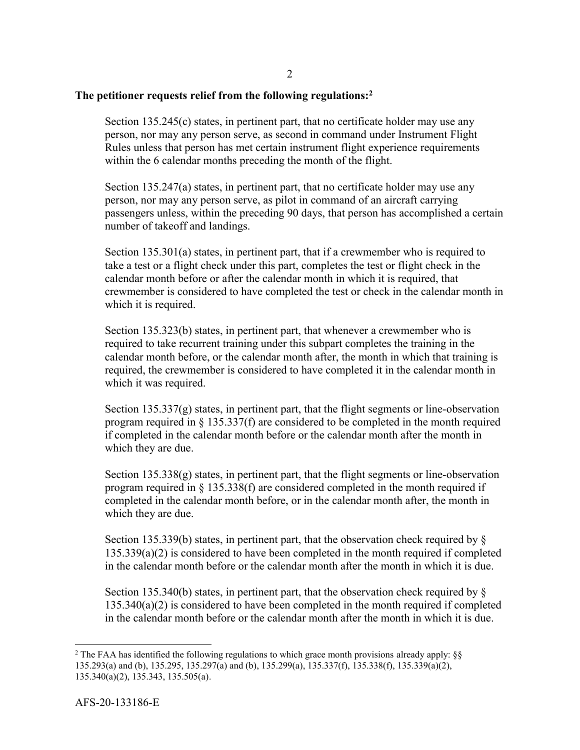### **The petitioner requests relief from the following regulations:2**

Section 135.245(c) states, in pertinent part, that no certificate holder may use any person, nor may any person serve, as second in command under Instrument Flight Rules unless that person has met certain instrument flight experience requirements within the 6 calendar months preceding the month of the flight.

Section 135.247(a) states, in pertinent part, that no certificate holder may use any person, nor may any person serve, as pilot in command of an aircraft carrying passengers unless, within the preceding 90 days, that person has accomplished a certain number of takeoff and landings.

Section 135.301(a) states, in pertinent part, that if a crewmember who is required to take a test or a flight check under this part, completes the test or flight check in the calendar month before or after the calendar month in which it is required, that crewmember is considered to have completed the test or check in the calendar month in which it is required.

Section 135.323(b) states, in pertinent part, that whenever a crewmember who is required to take recurrent training under this subpart completes the training in the calendar month before, or the calendar month after, the month in which that training is required, the crewmember is considered to have completed it in the calendar month in which it was required.

Section 135.337(g) states, in pertinent part, that the flight segments or line-observation program required in § 135.337(f) are considered to be completed in the month required if completed in the calendar month before or the calendar month after the month in which they are due.

Section 135.338(g) states, in pertinent part, that the flight segments or line-observation program required in § 135.338(f) are considered completed in the month required if completed in the calendar month before, or in the calendar month after, the month in which they are due.

Section 135.339(b) states, in pertinent part, that the observation check required by  $\S$ 135.339(a)(2) is considered to have been completed in the month required if completed in the calendar month before or the calendar month after the month in which it is due.

Section 135.340(b) states, in pertinent part, that the observation check required by  $\S$ 135.340(a)(2) is considered to have been completed in the month required if completed in the calendar month before or the calendar month after the month in which it is due.

<sup>&</sup>lt;sup>2</sup> The FAA has identified the following regulations to which grace month provisions already apply:  $\S$ 135.293(a) and (b), 135.295, 135.297(a) and (b), 135.299(a), 135.337(f), 135.338(f), 135.339(a)(2), 135.340(a)(2), 135.343, 135.505(a).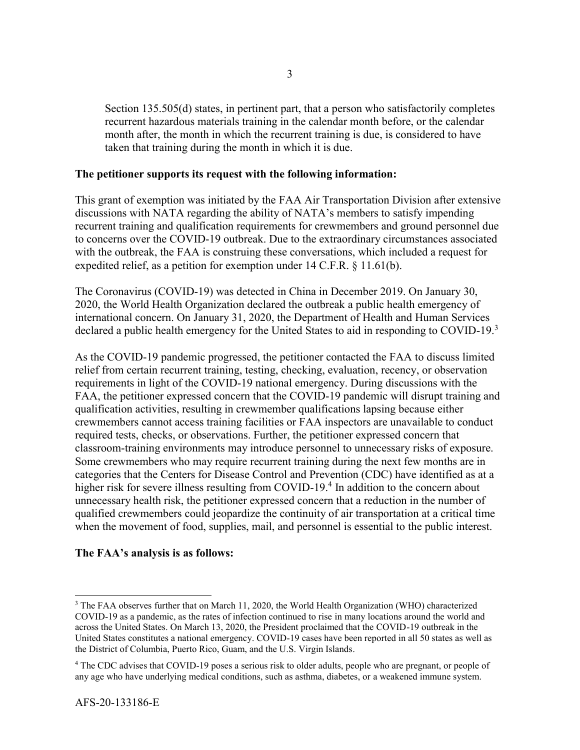Section 135.505(d) states, in pertinent part, that a person who satisfactorily completes recurrent hazardous materials training in the calendar month before, or the calendar month after, the month in which the recurrent training is due, is considered to have taken that training during the month in which it is due.

#### **The petitioner supports its request with the following information:**

This grant of exemption was initiated by the FAA Air Transportation Division after extensive discussions with NATA regarding the ability of NATA's members to satisfy impending recurrent training and qualification requirements for crewmembers and ground personnel due to concerns over the COVID-19 outbreak. Due to the extraordinary circumstances associated with the outbreak, the FAA is construing these conversations, which included a request for expedited relief, as a petition for exemption under 14 C.F.R. § 11.61(b).

The Coronavirus (COVID-19) was detected in China in December 2019. On January 30, 2020, the World Health Organization declared the outbreak a public health emergency of international concern. On January 31, 2020, the Department of Health and Human Services declared a public health emergency for the United States to aid in responding to COVID-19. $3$ 

As the COVID-19 pandemic progressed, the petitioner contacted the FAA to discuss limited relief from certain recurrent training, testing, checking, evaluation, recency, or observation requirements in light of the COVID-19 national emergency. During discussions with the FAA, the petitioner expressed concern that the COVID-19 pandemic will disrupt training and qualification activities, resulting in crewmember qualifications lapsing because either crewmembers cannot access training facilities or FAA inspectors are unavailable to conduct required tests, checks, or observations. Further, the petitioner expressed concern that classroom-training environments may introduce personnel to unnecessary risks of exposure. Some crewmembers who may require recurrent training during the next few months are in categories that the Centers for Disease Control and Prevention (CDC) have identified as at a higher risk for severe illness resulting from COVID-19.<sup>4</sup> In addition to the concern about unnecessary health risk, the petitioner expressed concern that a reduction in the number of qualified crewmembers could jeopardize the continuity of air transportation at a critical time when the movement of food, supplies, mail, and personnel is essential to the public interest.

## **The FAA's analysis is as follows:**

<sup>&</sup>lt;sup>3</sup> The FAA observes further that on March 11, 2020, the World Health Organization (WHO) characterized COVID-19 as a pandemic, as the rates of infection continued to rise in many locations around the world and across the United States. On March 13, 2020, the President proclaimed that the COVID-19 outbreak in the United States constitutes a national emergency. COVID-19 cases have been reported in all 50 states as well as the District of Columbia, Puerto Rico, Guam, and the U.S. Virgin Islands.

<sup>&</sup>lt;sup>4</sup> The CDC advises that COVID-19 poses a serious risk to older adults, people who are pregnant, or people of any age who have underlying medical conditions, such as asthma, diabetes, or a weakened immune system.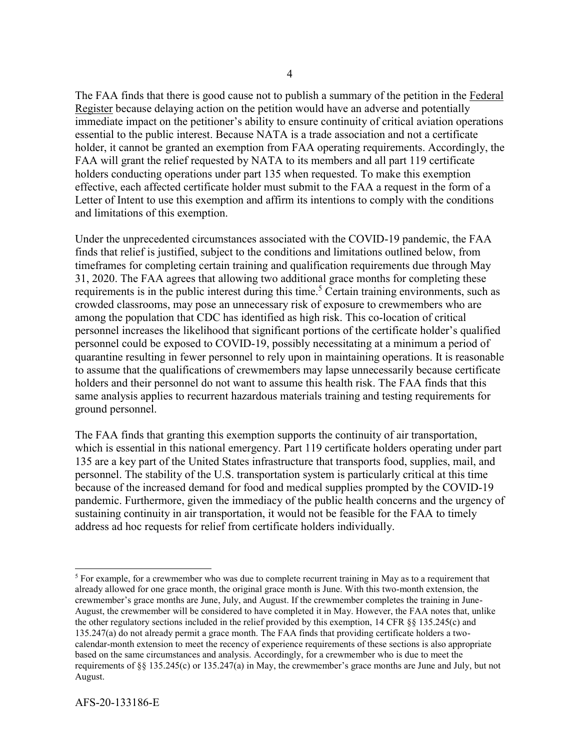The FAA finds that there is good cause not to publish a summary of the petition in the Federal Register because delaying action on the petition would have an adverse and potentially immediate impact on the petitioner's ability to ensure continuity of critical aviation operations essential to the public interest. Because NATA is a trade association and not a certificate holder, it cannot be granted an exemption from FAA operating requirements. Accordingly, the FAA will grant the relief requested by NATA to its members and all part 119 certificate holders conducting operations under part 135 when requested. To make this exemption effective, each affected certificate holder must submit to the FAA a request in the form of a Letter of Intent to use this exemption and affirm its intentions to comply with the conditions and limitations of this exemption.

Under the unprecedented circumstances associated with the COVID-19 pandemic, the FAA finds that relief is justified, subject to the conditions and limitations outlined below, from timeframes for completing certain training and qualification requirements due through May 31, 2020. The FAA agrees that allowing two additional grace months for completing these requirements is in the public interest during this time.<sup>5</sup> Certain training environments, such as crowded classrooms, may pose an unnecessary risk of exposure to crewmembers who are among the population that CDC has identified as high risk. This co-location of critical personnel increases the likelihood that significant portions of the certificate holder's qualified personnel could be exposed to COVID-19, possibly necessitating at a minimum a period of quarantine resulting in fewer personnel to rely upon in maintaining operations. It is reasonable to assume that the qualifications of crewmembers may lapse unnecessarily because certificate holders and their personnel do not want to assume this health risk. The FAA finds that this same analysis applies to recurrent hazardous materials training and testing requirements for ground personnel.

The FAA finds that granting this exemption supports the continuity of air transportation, which is essential in this national emergency. Part 119 certificate holders operating under part 135 are a key part of the United States infrastructure that transports food, supplies, mail, and personnel. The stability of the U.S. transportation system is particularly critical at this time because of the increased demand for food and medical supplies prompted by the COVID-19 pandemic. Furthermore, given the immediacy of the public health concerns and the urgency of sustaining continuity in air transportation, it would not be feasible for the FAA to timely address ad hoc requests for relief from certificate holders individually.

 $<sup>5</sup>$  For example, for a crewmember who was due to complete recurrent training in May as to a requirement that</sup> already allowed for one grace month, the original grace month is June. With this two-month extension, the crewmember's grace months are June, July, and August. If the crewmember completes the training in June-August, the crewmember will be considered to have completed it in May. However, the FAA notes that, unlike the other regulatory sections included in the relief provided by this exemption, 14 CFR §§ 135.245(c) and 135.247(a) do not already permit a grace month. The FAA finds that providing certificate holders a twocalendar-month extension to meet the recency of experience requirements of these sections is also appropriate based on the same circumstances and analysis. Accordingly, for a crewmember who is due to meet the requirements of §§ 135.245(c) or 135.247(a) in May, the crewmember's grace months are June and July, but not August.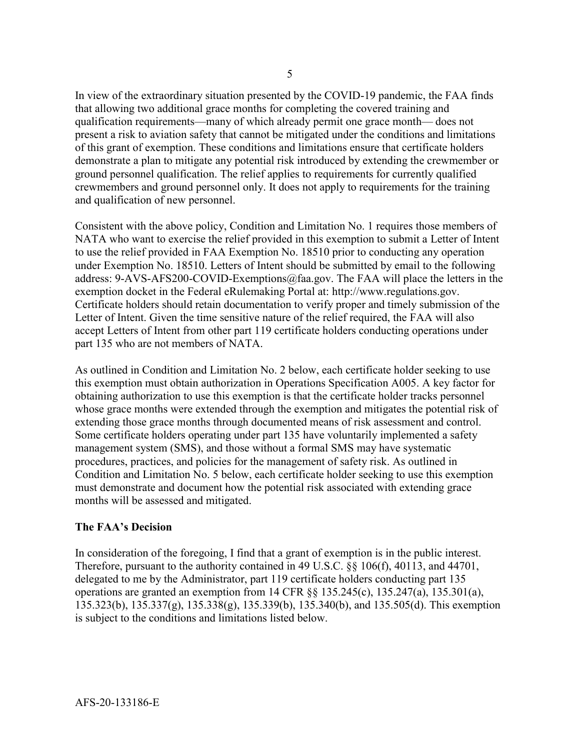In view of the extraordinary situation presented by the COVID-19 pandemic, the FAA finds that allowing two additional grace months for completing the covered training and qualification requirements—many of which already permit one grace month— does not present a risk to aviation safety that cannot be mitigated under the conditions and limitations of this grant of exemption. These conditions and limitations ensure that certificate holders demonstrate a plan to mitigate any potential risk introduced by extending the crewmember or ground personnel qualification. The relief applies to requirements for currently qualified crewmembers and ground personnel only. It does not apply to requirements for the training and qualification of new personnel.

Consistent with the above policy, Condition and Limitation No. 1 requires those members of NATA who want to exercise the relief provided in this exemption to submit a Letter of Intent to use the relief provided in FAA Exemption No. 18510 prior to conducting any operation under Exemption No. 18510. Letters of Intent should be submitted by email to the following address: 9-AVS-AFS200-COVID-Exemptions@faa.gov. The FAA will place the letters in the exemption docket in the Federal eRulemaking Portal at: http://www.regulations.gov. Certificate holders should retain documentation to verify proper and timely submission of the Letter of Intent. Given the time sensitive nature of the relief required, the FAA will also accept Letters of Intent from other part 119 certificate holders conducting operations under part 135 who are not members of NATA.

As outlined in Condition and Limitation No. 2 below, each certificate holder seeking to use this exemption must obtain authorization in Operations Specification A005. A key factor for obtaining authorization to use this exemption is that the certificate holder tracks personnel whose grace months were extended through the exemption and mitigates the potential risk of extending those grace months through documented means of risk assessment and control. Some certificate holders operating under part 135 have voluntarily implemented a safety management system (SMS), and those without a formal SMS may have systematic procedures, practices, and policies for the management of safety risk. As outlined in Condition and Limitation No. 5 below, each certificate holder seeking to use this exemption must demonstrate and document how the potential risk associated with extending grace months will be assessed and mitigated.

## **The FAA's Decision**

In consideration of the foregoing, I find that a grant of exemption is in the public interest. Therefore, pursuant to the authority contained in 49 U.S.C. §§ 106(f), 40113, and 44701, delegated to me by the Administrator, part 119 certificate holders conducting part 135 operations are granted an exemption from 14 CFR  $\S$  135.245(c), 135.247(a), 135.301(a), 135.323(b), 135.337(g), 135.338(g), 135.339(b), 135.340(b), and 135.505(d). This exemption is subject to the conditions and limitations listed below.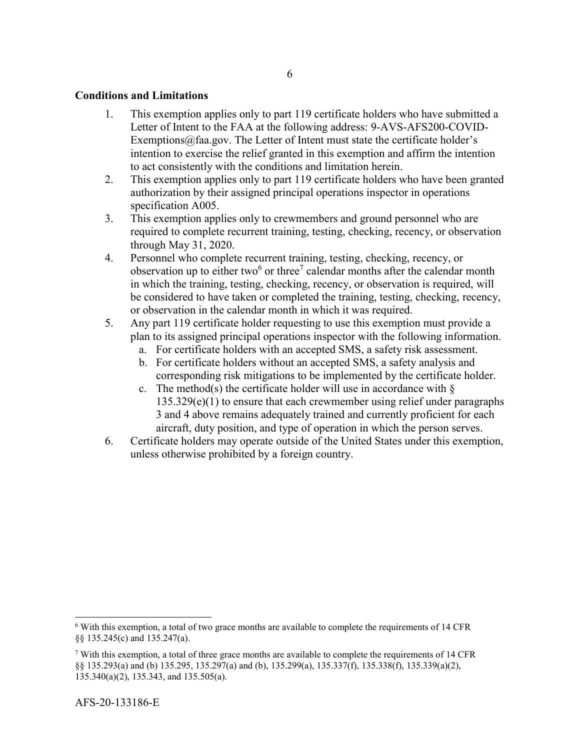### **Conditions and Limitations**

- 1. This exemption applies only to part 119 certificate holders who have submitted a Letter of Intent to the FAA at the following address: 9-AVS-AFS200-COVID-Exemptions@faa.gov. The Letter of Intent must state the certificate holder's intention to exercise the relief granted in this exemption and affirm the intention to act consistently with the conditions and limitation herein.
- 2. This exemption applies only to part 119 certificate holders who have been granted authorization by their assigned principal operations inspector in operations specification A005.
- 3. This exemption applies only to crewmembers and ground personnel who are required to complete recurrent training, testing, checking, recency, or observation through May 31, 2020.
- 4. Personnel who complete recurrent training, testing, checking, recency, or observation up to either two<sup>6</sup> or three<sup>7</sup> calendar months after the calendar month in which the training, testing, checking, recency, or observation is required, will be considered to have taken or completed the training, testing, checking, recency, or observation in the calendar month in which it was required.
- 5. Any part 119 certificate holder requesting to use this exemption must provide a plan to its assigned principal operations inspector with the following information.
	- a. For certificate holders with an accepted SMS, a safety risk assessment.
	- b. For certificate holders without an accepted SMS, a safety analysis and corresponding risk mitigations to be implemented by the certificate holder.
	- c. The method(s) the certificate holder will use in accordance with  $\S$  $135.329(e)(1)$  to ensure that each crewmember using relief under paragraphs 3 and 4 above remains adequately trained and currently proficient for each aircraft, duty position, and type of operation in which the person serves.
- 6. Certificate holders may operate outside of the United States under this exemption, unless otherwise prohibited by a foreign country.

l

 $7$  With this exemption, a total of three grace months are available to complete the requirements of 14 CFR §§ 135.293(a) and (b) 135.295, 135.297(a) and (b), 135.299(a), 135.337(f), 135.338(f), 135.339(a)(2), 135.340(a)(2), 135.343, and 135.505(a).